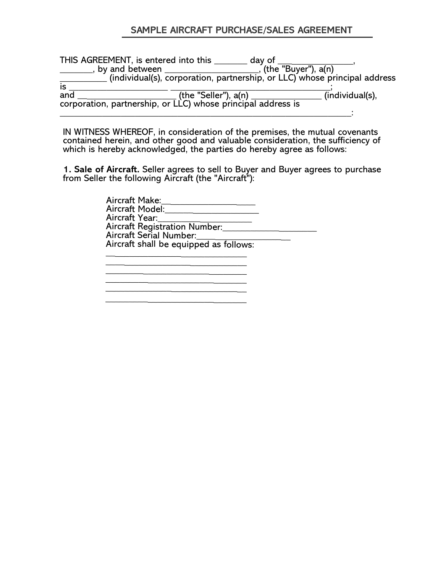## **SAMPLE AIRCRAFT PURCHASE/SALES AGREEMENT**

THIS AGREEMENT, is entered into this \_\_\_\_\_\_\_\_ day of \_\_\_\_\_\_\_\_\_\_\_\_\_\_\_\_\_, \_\_\_\_\_\_\_, by and between \_\_\_\_\_\_\_\_\_\_\_\_\_\_\_\_\_\_\_\_, (the "Buyer"), a(n) \_\_\_\_\_\_\_\_\_\_ (individual(s), corporation, partnership, or LLC) whose principal address is \_\_\_\_\_\_\_\_\_\_\_\_\_\_\_\_\_\_\_\_\_ \_\_\_\_\_\_\_\_\_\_\_\_\_\_\_\_\_\_\_\_\_\_\_\_\_\_\_\_\_\_\_\_\_\_; and \_\_\_\_\_\_\_\_\_\_\_\_\_\_\_\_\_\_\_\_\_ (the "Seller"), a(n) \_\_\_\_\_\_\_\_\_\_\_\_\_\_\_ (individual(s), corporation, partnership, or LLC) whose principal address is  $\_$  , and the set of the set of the set of the set of the set of the set of the set of the set of the set of the set of the set of the set of the set of the set of the set of the set of the set of the set of the set of th

IN WITNESS WHEREOF, in consideration of the premises, the mutual covenants contained herein, and other good and valuable consideration, the sufficiency of which is hereby acknowledged, the parties do hereby agree as follows:

**1. Sale of Aircraft.** Seller agrees to sell to Buyer and Buyer agrees to purchase from Seller the following Aircraft (the "Aircraft"):

| Aircraft Make:                         |  |
|----------------------------------------|--|
| Aircraft Model:                        |  |
| Aircraft Year:                         |  |
| <b>Aircraft Registration Number:</b>   |  |
| Aircraft Serial Number:                |  |
| Aircraft shall be equipped as follows: |  |

\_\_\_\_\_\_\_\_\_\_\_\_\_\_\_\_\_\_\_\_\_\_\_\_\_\_\_\_\_\_ \_\_\_\_\_\_\_\_\_\_\_\_\_\_\_\_\_\_\_\_\_\_\_\_\_\_\_\_\_\_ \_\_\_\_\_\_\_\_\_\_\_\_\_\_\_\_\_\_\_\_\_\_\_\_\_\_\_\_\_\_  $\frac{1}{\sqrt{2}}\int_{-\infty}^{\infty}\frac{1}{\sqrt{2}}\left( \frac{1}{\sqrt{2}}\right) \left( \frac{1}{\sqrt{2}}\right) \left( \frac{1}{\sqrt{2}}\right) \left( \frac{1}{\sqrt{2}}\right) \left( \frac{1}{\sqrt{2}}\right) \left( \frac{1}{\sqrt{2}}\right) \left( \frac{1}{\sqrt{2}}\right) \left( \frac{1}{\sqrt{2}}\right) \left( \frac{1}{\sqrt{2}}\right) \left( \frac{1}{\sqrt{2}}\right) \left( \frac{1}{\sqrt{2}}\right) \left( \frac{1}{\sqrt{2}}$  $\mathcal{L}_\text{max}$  and  $\mathcal{L}_\text{max}$  and  $\mathcal{L}_\text{max}$  and  $\mathcal{L}_\text{max}$ 

\_\_\_\_\_\_\_\_\_\_\_\_\_\_\_\_\_\_\_\_\_\_\_\_\_\_\_\_\_\_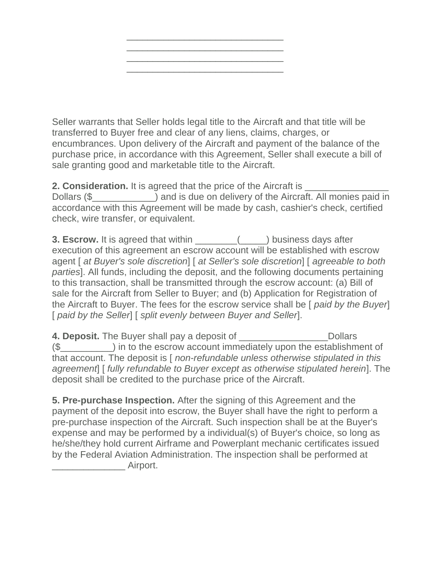

Seller warrants that Seller holds legal title to the Aircraft and that title will be transferred to Buyer free and clear of any liens, claims, charges, or encumbrances. Upon delivery of the Aircraft and payment of the balance of the purchase price, in accordance with this Agreement, Seller shall execute a bill of sale granting good and marketable title to the Aircraft.

**2. Consideration.** It is agreed that the price of the Aircraft is Dollars (\$  $\Box$ ) and is due on delivery of the Aircraft. All monies paid in accordance with this Agreement will be made by cash, cashier's check, certified check, wire transfer, or equivalent.

**3. Escrow.** It is agreed that within  $($   $)$  business days after execution of this agreement an escrow account will be established with escrow agent [ *at Buyer's sole discretion*] [ *at Seller's sole discretion*] [ *agreeable to both parties*]. All funds, including the deposit, and the following documents pertaining to this transaction, shall be transmitted through the escrow account: (a) Bill of sale for the Aircraft from Seller to Buyer; and (b) Application for Registration of the Aircraft to Buyer. The fees for the escrow service shall be [ *paid by the Buyer*] [ *paid by the Seller*] [ *split evenly between Buyer and Seller*].

**4. Deposit.** The Buyer shall pay a deposit of \_\_\_\_\_\_\_\_\_\_\_\_\_\_\_\_\_Dollars (\$\_\_\_\_\_\_\_\_\_\_) in to the escrow account immediately upon the establishment of that account. The deposit is [ *non-refundable unless otherwise stipulated in this agreement*] [ *fully refundable to Buyer except as otherwise stipulated herein*]. The deposit shall be credited to the purchase price of the Aircraft.

**5. Pre-purchase Inspection.** After the signing of this Agreement and the payment of the deposit into escrow, the Buyer shall have the right to perform a pre-purchase inspection of the Aircraft. Such inspection shall be at the Buyer's expense and may be performed by a individual(s) of Buyer's choice, so long as he/she/they hold current Airframe and Powerplant mechanic certificates issued by the Federal Aviation Administration. The inspection shall be performed at Airport.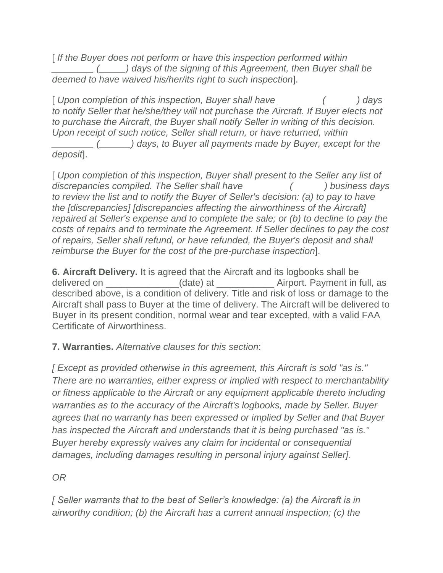[ *If the Buyer does not perform or have this inspection performed within \_\_\_\_\_\_\_\_ (\_\_\_\_\_) days of the signing of this Agreement, then Buyer shall be deemed to have waived his/her/its right to such inspection*].

[ *Upon completion of this inspection, Buyer shall have \_\_\_\_\_\_\_\_ (\_\_\_\_\_\_) days to notify Seller that he/she/they will not purchase the Aircraft. If Buyer elects not to purchase the Aircraft, the Buyer shall notify Seller in writing of this decision. Upon receipt of such notice, Seller shall return, or have returned, within* 

*\_\_\_\_\_\_\_\_ (\_\_\_\_\_\_) days, to Buyer all payments made by Buyer, except for the deposit*].

[ *Upon completion of this inspection, Buyer shall present to the Seller any list of discrepancies compiled. The Seller shall have \_\_\_\_\_\_\_\_ (\_\_\_\_\_\_) business days to review the list and to notify the Buyer of Seller's decision: (a) to pay to have the [discrepancies] [discrepancies affecting the airworthiness of the Aircraft] repaired at Seller's expense and to complete the sale; or (b) to decline to pay the costs of repairs and to terminate the Agreement. If Seller declines to pay the cost of repairs, Seller shall refund, or have refunded, the Buyer's deposit and shall reimburse the Buyer for the cost of the pre-purchase inspection*].

**6. Aircraft Delivery.** It is agreed that the Aircraft and its logbooks shall be delivered on  $\qquad \qquad$  (date) at  $\qquad \qquad$  Airport. Payment in full, as described above, is a condition of delivery. Title and risk of loss or damage to the Aircraft shall pass to Buyer at the time of delivery. The Aircraft will be delivered to Buyer in its present condition, normal wear and tear excepted, with a valid FAA Certificate of Airworthiness.

## **7. Warranties.** *Alternative clauses for this section*:

*[ Except as provided otherwise in this agreement, this Aircraft is sold "as is." There are no warranties, either express or implied with respect to merchantability or fitness applicable to the Aircraft or any equipment applicable thereto including warranties as to the accuracy of the Aircraft's logbooks, made by Seller. Buyer agrees that no warranty has been expressed or implied by Seller and that Buyer has inspected the Aircraft and understands that it is being purchased "as is." Buyer hereby expressly waives any claim for incidental or consequential damages, including damages resulting in personal injury against Seller].*

*OR*

*[ Seller warrants that to the best of Seller's knowledge: (a) the Aircraft is in airworthy condition; (b) the Aircraft has a current annual inspection; (c) the*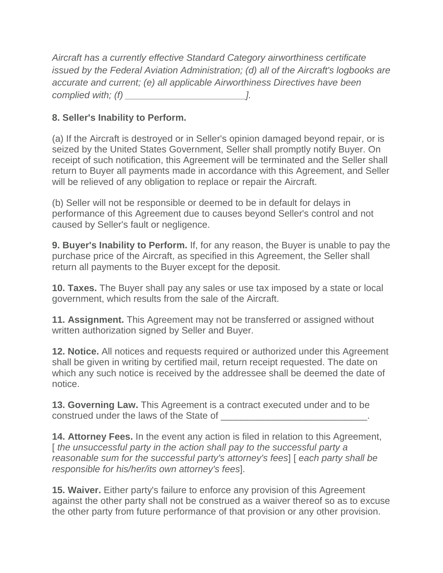*Aircraft has a currently effective Standard Category airworthiness certificate issued by the Federal Aviation Administration; (d) all of the Aircraft's logbooks are accurate and current; (e) all applicable Airworthiness Directives have been complied with; (f) \_\_\_\_\_\_\_\_\_\_\_\_\_\_\_\_\_\_\_\_\_\_\_].*

## **8. Seller's Inability to Perform.**

(a) If the Aircraft is destroyed or in Seller's opinion damaged beyond repair, or is seized by the United States Government, Seller shall promptly notify Buyer. On receipt of such notification, this Agreement will be terminated and the Seller shall return to Buyer all payments made in accordance with this Agreement, and Seller will be relieved of any obligation to replace or repair the Aircraft.

(b) Seller will not be responsible or deemed to be in default for delays in performance of this Agreement due to causes beyond Seller's control and not caused by Seller's fault or negligence.

**9. Buyer's Inability to Perform.** If, for any reason, the Buyer is unable to pay the purchase price of the Aircraft, as specified in this Agreement, the Seller shall return all payments to the Buyer except for the deposit.

**10. Taxes.** The Buyer shall pay any sales or use tax imposed by a state or local government, which results from the sale of the Aircraft.

**11. Assignment.** This Agreement may not be transferred or assigned without written authorization signed by Seller and Buyer.

**12. Notice.** All notices and requests required or authorized under this Agreement shall be given in writing by certified mail, return receipt requested. The date on which any such notice is received by the addressee shall be deemed the date of notice.

**13. Governing Law.** This Agreement is a contract executed under and to be construed under the laws of the State of  $\blacksquare$ 

**14. Attorney Fees.** In the event any action is filed in relation to this Agreement, [ *the unsuccessful party in the action shall pay to the successful party a reasonable sum for the successful party's attorney's fees*] [ *each party shall be responsible for his/her/its own attorney's fees*].

**15. Waiver.** Either party's failure to enforce any provision of this Agreement against the other party shall not be construed as a waiver thereof so as to excuse the other party from future performance of that provision or any other provision.